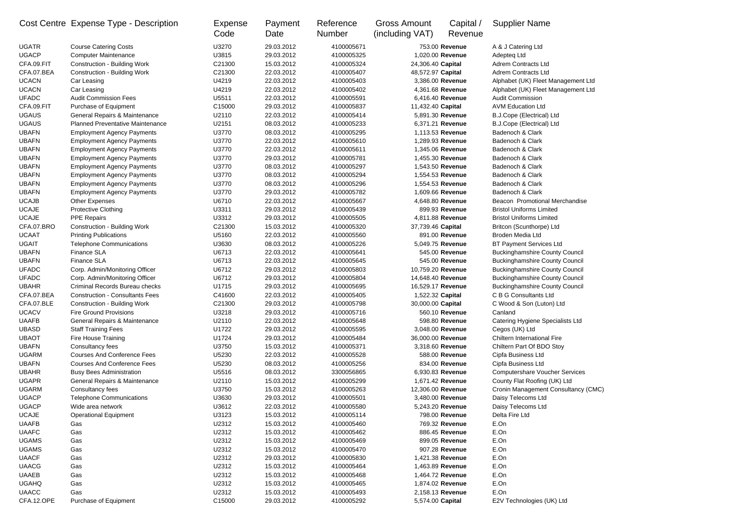|              | Cost Centre Expense Type - Description                               | Expense<br>Code | Payment<br>Date          | Reference<br><b>Number</b> | <b>Gross Amount</b><br>(including VAT) | Capital /<br>Revenue | <b>Supplier Name</b>                                 |
|--------------|----------------------------------------------------------------------|-----------------|--------------------------|----------------------------|----------------------------------------|----------------------|------------------------------------------------------|
| <b>UGATR</b> | <b>Course Catering Costs</b>                                         | U3270           | 29.03.2012               | 4100005671                 |                                        | 753.00 Revenue       | A & J Catering Ltd                                   |
| <b>UGACP</b> | <b>Computer Maintenance</b>                                          | U3815           | 29.03.2012               | 4100005325                 |                                        | 1,020.00 Revenue     | Adepteg Ltd                                          |
| CFA.09.FIT   | <b>Construction - Building Work</b>                                  | C21300          | 15.03.2012               | 4100005324                 | 24,306.40 Capital                      |                      | <b>Adrem Contracts Ltd</b>                           |
| CFA.07.BEA   | <b>Construction - Building Work</b>                                  | C21300          | 22.03.2012               | 4100005407                 | 48,572.97 Capital                      |                      | <b>Adrem Contracts Ltd</b>                           |
| <b>UCACN</b> | Car Leasing                                                          | U4219           | 22.03.2012               | 4100005403                 |                                        | 3,386.00 Revenue     | Alphabet (UK) Fleet Management Ltd                   |
| <b>UCACN</b> | Car Leasing                                                          | U4219           | 22.03.2012               | 4100005402                 |                                        | 4,361.68 Revenue     | Alphabet (UK) Fleet Management Ltd                   |
| <b>UFADC</b> | <b>Audit Commission Fees</b>                                         | U5511           | 22.03.2012               | 4100005591                 |                                        | 6,416.40 Revenue     | <b>Audit Commission</b>                              |
| CFA.09.FIT   | Purchase of Equipment                                                | C15000          | 29.03.2012               | 4100005837                 | 11,432.40 Capital                      |                      | <b>AVM Education Ltd</b>                             |
| <b>UGAUS</b> | General Repairs & Maintenance                                        | U2110           | 22.03.2012               | 4100005414                 |                                        | 5,891.30 Revenue     | B.J.Cope (Electrical) Ltd                            |
| <b>UGAUS</b> | <b>Planned Preventative Maintenance</b>                              | U2151           | 08.03.2012               | 4100005233                 |                                        | 6,371.21 Revenue     | B.J.Cope (Electrical) Ltd                            |
| <b>UBAFN</b> | <b>Employment Agency Payments</b>                                    | U3770           | 08.03.2012               | 4100005295                 |                                        | 1,113.53 Revenue     | Badenoch & Clark                                     |
| <b>UBAFN</b> | <b>Employment Agency Payments</b>                                    | U3770           | 22.03.2012               | 4100005610                 |                                        | 1,289.93 Revenue     | Badenoch & Clark                                     |
| <b>UBAFN</b> | <b>Employment Agency Payments</b>                                    | U3770           | 22.03.2012               | 4100005611                 |                                        | 1,345.06 Revenue     | Badenoch & Clark                                     |
| <b>UBAFN</b> | <b>Employment Agency Payments</b>                                    | U3770           | 29.03.2012               | 4100005781                 |                                        | 1,455.30 Revenue     | Badenoch & Clark                                     |
| <b>UBAFN</b> | <b>Employment Agency Payments</b>                                    | U3770           | 08.03.2012               | 4100005297                 |                                        | 1,543.50 Revenue     | Badenoch & Clark                                     |
| <b>UBAFN</b> | <b>Employment Agency Payments</b>                                    | U3770           | 08.03.2012               | 4100005294                 |                                        | 1,554.53 Revenue     | Badenoch & Clark                                     |
| <b>UBAFN</b> | <b>Employment Agency Payments</b>                                    | U3770           | 08.03.2012               | 4100005296                 |                                        | 1,554.53 Revenue     | Badenoch & Clark                                     |
| <b>UBAFN</b> | <b>Employment Agency Payments</b>                                    | U3770           | 29.03.2012               | 4100005782                 |                                        | 1,609.66 Revenue     | Badenoch & Clark                                     |
| <b>UCAJB</b> | <b>Other Expenses</b>                                                | U6710           | 22.03.2012               | 4100005667                 |                                        | 4,648.80 Revenue     | Beacon Promotional Merchandise                       |
| <b>UCAJE</b> | Protective Clothing                                                  | U3311           | 29.03.2012               | 4100005439                 |                                        | 899.93 Revenue       | <b>Bristol Uniforms Limited</b>                      |
| <b>UCAJE</b> | PPE Repairs                                                          | U3312           | 29.03.2012               | 4100005505                 |                                        | 4,811.88 Revenue     | <b>Bristol Uniforms Limited</b>                      |
| CFA.07.BRO   | <b>Construction - Building Work</b>                                  | C21300          | 15.03.2012               | 4100005320                 | 37,739.46 Capital                      |                      | Britcon (Scunthorpe) Ltd                             |
| <b>UCAAT</b> | <b>Printing Publications</b>                                         | U5160           | 22.03.2012               | 4100005560                 |                                        | 891.00 Revenue       | <b>Broden Media Ltd</b>                              |
| <b>UGAIT</b> | <b>Telephone Communications</b>                                      | U3630           | 08.03.2012               | 4100005226                 |                                        | 5,049.75 Revenue     | <b>BT Payment Services Ltd</b>                       |
| <b>UBAFN</b> | Finance SLA                                                          | U6713           | 22.03.2012               | 4100005641                 |                                        | 545.00 Revenue       | <b>Buckinghamshire County Council</b>                |
| <b>UBAFN</b> | <b>Finance SLA</b>                                                   | U6713           | 22.03.2012               | 4100005645                 |                                        | 545.00 Revenue       | <b>Buckinghamshire County Council</b>                |
| <b>UFADC</b> | Corp. Admin/Monitoring Officer                                       | U6712           | 29.03.2012               | 4100005803                 | 10,759.20 Revenue                      |                      | <b>Buckinghamshire County Council</b>                |
| <b>UFADC</b> | Corp. Admin/Monitoring Officer                                       | U6712           | 29.03.2012               | 4100005804                 | 14,648.40 Revenue                      |                      | <b>Buckinghamshire County Council</b>                |
| <b>UBAHR</b> | Criminal Records Bureau checks                                       | U1715           | 29.03.2012               | 4100005695                 | 16,529.17 Revenue                      |                      | <b>Buckinghamshire County Council</b>                |
| CFA.07.BEA   | <b>Construction - Consultants Fees</b>                               | C41600          | 22.03.2012               | 4100005405                 | 1,522.32 Capital                       |                      | C B G Consultants Ltd                                |
| CFA.07.BLE   |                                                                      | C21300          |                          | 4100005798                 |                                        |                      |                                                      |
| <b>UCACV</b> | <b>Construction - Building Work</b><br><b>Fire Ground Provisions</b> | U3218           | 29.03.2012<br>29.03.2012 | 4100005716                 | 30,000.00 Capital                      | 560.10 Revenue       | C Wood & Son (Luton) Ltd<br>Canland                  |
| <b>UAAFB</b> | General Repairs & Maintenance                                        | U2110           | 22.03.2012               | 4100005648                 |                                        | 598.80 Revenue       |                                                      |
| <b>UBASD</b> |                                                                      | U1722           | 29.03.2012               | 4100005595                 |                                        | 3,048.00 Revenue     | Catering Hygiene Specialists Ltd                     |
| <b>UBAOT</b> | <b>Staff Training Fees</b><br><b>Fire House Training</b>             | U1724           |                          |                            | 36,000.00 Revenue                      |                      | Cegos (UK) Ltd<br><b>Chiltern International Fire</b> |
|              |                                                                      |                 | 29.03.2012               | 4100005484                 |                                        |                      |                                                      |
| <b>UBAFN</b> | Consultancy fees                                                     | U3750           | 15.03.2012               | 4100005371                 |                                        | 3,318.60 Revenue     | Chiltern Part Of BDO Stoy                            |
| <b>UGARM</b> | <b>Courses And Conference Fees</b>                                   | U5230           | 22.03.2012               | 4100005528                 |                                        | 588.00 Revenue       | Cipfa Business Ltd                                   |
| <b>UBAFN</b> | <b>Courses And Conference Fees</b>                                   | U5230           | 08.03.2012               | 4100005256                 |                                        | 834.00 Revenue       | Cipfa Business Ltd                                   |
| <b>UBAHR</b> | <b>Busy Bees Administration</b>                                      | U5516           | 08.03.2012               | 3300056865                 |                                        | 6,930.83 Revenue     | <b>Computershare Voucher Services</b>                |
| <b>UGAPR</b> | General Repairs & Maintenance                                        | U2110           | 15.03.2012               | 4100005299                 |                                        | 1,671.42 Revenue     | County Flat Roofing (UK) Ltd                         |
| <b>UGARM</b> | Consultancy fees                                                     | U3750           | 15.03.2012               | 4100005263                 | 12,306.00 Revenue                      |                      | Cronin Management Consultancy (CMC)                  |
| <b>UGACP</b> | <b>Telephone Communications</b>                                      | U3630           | 29.03.2012               | 4100005501                 |                                        | 3,480.00 Revenue     | Daisy Telecoms Ltd                                   |
| <b>UGACP</b> | Wide area network                                                    | U3612           | 22.03.2012               | 4100005580                 |                                        | 5,243.20 Revenue     | Daisy Telecoms Ltd                                   |
| <b>UCAJE</b> | <b>Operational Equipment</b>                                         | U3123           | 15.03.2012               | 4100005114                 |                                        | 798.00 Revenue       | Delta Fire Ltd                                       |
| <b>UAAFB</b> | Gas                                                                  | U2312           | 15.03.2012               | 4100005460                 |                                        | 769.32 Revenue       | E.On                                                 |
| <b>UAAFC</b> | Gas                                                                  | U2312           | 15.03.2012               | 4100005462                 |                                        | 886.45 Revenue       | E.On                                                 |
| <b>UGAMS</b> | Gas                                                                  | U2312           | 15.03.2012               | 4100005469                 |                                        | 899.05 Revenue       | E.On                                                 |
| <b>UGAMS</b> | Gas                                                                  | U2312           | 15.03.2012               | 4100005470                 |                                        | 907.28 Revenue       | E.On                                                 |
| <b>UAACF</b> | Gas                                                                  | U2312           | 29.03.2012               | 4100005830                 |                                        | 1,421.38 Revenue     | E.On                                                 |
| <b>UAACG</b> | Gas                                                                  | U2312           | 15.03.2012               | 4100005464                 |                                        | 1,463.89 Revenue     | E.On                                                 |
| <b>UAAEB</b> | Gas                                                                  | U2312           | 15.03.2012               | 4100005468                 |                                        | 1,464.72 Revenue     | E.On                                                 |
| <b>UGAHQ</b> | Gas                                                                  | U2312           | 15.03.2012               | 4100005465                 |                                        | 1,874.02 Revenue     | E.On                                                 |
| <b>UAACC</b> | Gas                                                                  | U2312           | 15.03.2012               | 4100005493                 |                                        | 2,158.13 Revenue     | E.On                                                 |
| CFA.12.OPE   | Purchase of Equipment                                                | C15000          | 29.03.2012               | 4100005292                 | 5,574.00 Capital                       |                      | E2V Technologies (UK) Ltd                            |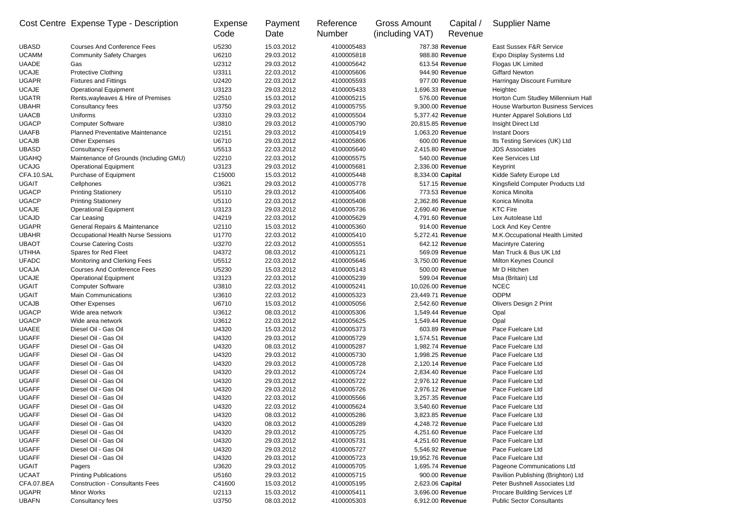|              | Cost Centre Expense Type - Description  | Expense<br>Code | Payment<br>Date | Reference<br><b>Number</b> | <b>Gross Amount</b><br>(including VAT) | Capital /<br>Revenue | <b>Supplier Name</b>                     |
|--------------|-----------------------------------------|-----------------|-----------------|----------------------------|----------------------------------------|----------------------|------------------------------------------|
| <b>UBASD</b> | <b>Courses And Conference Fees</b>      | U5230           | 15.03.2012      | 4100005483                 |                                        | 787.38 Revenue       | East Sussex F&R Service                  |
| <b>UCAMM</b> | <b>Community Safety Charges</b>         | U6210           | 29.03.2012      | 4100005818                 |                                        | 988.80 Revenue       | Expo Display Systems Ltd                 |
| <b>UAADE</b> | Gas                                     | U2312           | 29.03.2012      | 4100005642                 |                                        | 613.54 Revenue       | Flogas UK Limited                        |
| <b>UCAJE</b> | Protective Clothing                     | U3311           | 22.03.2012      | 4100005606                 |                                        | 944.90 Revenue       | <b>Giffard Newton</b>                    |
| <b>UGAPR</b> | <b>Fixtures and Fittings</b>            | U2420           | 22.03.2012      | 4100005593                 |                                        | 977.00 Revenue       | Harringay Discount Furniture             |
| <b>UCAJE</b> | <b>Operational Equipment</b>            | U3123           | 29.03.2012      | 4100005433                 | 1,696.33 Revenue                       |                      | Heightec                                 |
| <b>UGATR</b> | Rents, wayleaves & Hire of Premises     | U2510           | 15.03.2012      | 4100005215                 |                                        | 576.00 Revenue       | Horton Cum Studley Millennium Hall       |
| <b>UBAHR</b> | Consultancy fees                        | U3750           | 29.03.2012      | 4100005755                 | 9,300.00 Revenue                       |                      | <b>House Warburton Business Services</b> |
| <b>UAACB</b> | Uniforms                                | U3310           | 29.03.2012      | 4100005504                 | 5,377.42 Revenue                       |                      | <b>Hunter Apparel Solutions Ltd</b>      |
| <b>UGACP</b> | <b>Computer Software</b>                | U3810           | 29.03.2012      | 4100005790                 | 20,815.85 Revenue                      |                      | Insight Direct Ltd                       |
| <b>UAAFB</b> | <b>Planned Preventative Maintenance</b> | U2151           | 29.03.2012      | 4100005419                 | 1,063.20 Revenue                       |                      | <b>Instant Doors</b>                     |
| <b>UCAJB</b> | <b>Other Expenses</b>                   | U6710           | 29.03.2012      | 4100005806                 |                                        | 600.00 Revenue       | Its Testing Services (UK) Ltd            |
| <b>UBASD</b> | <b>Consultancy Fees</b>                 | U5513           | 22.03.2012      | 4100005640                 | 2,415.80 Revenue                       |                      | <b>JDS Associates</b>                    |
| <b>UGAHQ</b> | Maintenance of Grounds (Including GMU)  | U2210           | 22.03.2012      | 4100005575                 |                                        | 540.00 Revenue       | Kee Services Ltd                         |
| <b>UCAJG</b> | <b>Operational Equipment</b>            | U3123           | 29.03.2012      | 4100005681                 | 2,336.00 Revenue                       |                      | Keyprint                                 |
| CFA.10.SAL   | Purchase of Equipment                   | C15000          | 15.03.2012      | 4100005448                 | 8,334.00 Capital                       |                      | Kidde Safety Europe Ltd                  |
| <b>UGAIT</b> | Cellphones                              | U3621           | 29.03.2012      | 4100005778                 |                                        | 517.15 Revenue       | Kingsfield Computer Products Ltd         |
| <b>UGACP</b> | <b>Printing Stationery</b>              | U5110           | 29.03.2012      | 4100005406                 |                                        | 773.53 Revenue       | Konica Minolta                           |
| <b>UGACP</b> | <b>Printing Stationery</b>              | U5110           | 22.03.2012      | 4100005408                 | 2,362.86 Revenue                       |                      | Konica Minolta                           |
| <b>UCAJE</b> | <b>Operational Equipment</b>            | U3123           | 29.03.2012      | 4100005736                 | 2,690.40 Revenue                       |                      | <b>KTC Fire</b>                          |
| <b>UCAJD</b> | Car Leasing                             | U4219           | 22.03.2012      | 4100005629                 | 4,791.60 Revenue                       |                      | Lex Autolease Ltd                        |
| <b>UGAPR</b> |                                         | U2110           | 15.03.2012      | 4100005360                 |                                        | 914.00 Revenue       |                                          |
|              | General Repairs & Maintenance           | U1770           |                 |                            |                                        |                      | Lock And Key Centre                      |
| <b>UBAHR</b> | Occupational Health Nurse Sessions      |                 | 22.03.2012      | 4100005410                 | 5,272.41 Revenue                       |                      | M.K.Occupational Health Limited          |
| <b>UBAOT</b> | <b>Course Catering Costs</b>            | U3270           | 22.03.2012      | 4100005551                 |                                        | 642.12 Revenue       | <b>Macintyre Catering</b>                |
| <b>UTHHA</b> | Spares for Red Fleet                    | U4372           | 08.03.2012      | 4100005121                 |                                        | 569.09 Revenue       | Man Truck & Bus UK Ltd                   |
| <b>UFADC</b> | Monitoring and Clerking Fees            | U5512           | 22.03.2012      | 4100005646                 | 3,750.00 Revenue                       |                      | Milton Keynes Council                    |
| <b>UCAJA</b> | <b>Courses And Conference Fees</b>      | U5230           | 15.03.2012      | 4100005143                 |                                        | 500.00 Revenue       | Mr D Hitchen                             |
| <b>UCAJE</b> | <b>Operational Equipment</b>            | U3123           | 22.03.2012      | 4100005239                 |                                        | 599.04 Revenue       | Msa (Britain) Ltd                        |
| <b>UGAIT</b> | <b>Computer Software</b>                | U3810           | 22.03.2012      | 4100005241                 | 10,026.00 Revenue                      |                      | <b>NCEC</b>                              |
| <b>UGAIT</b> | <b>Main Communications</b>              | U3610           | 22.03.2012      | 4100005323                 | 23,449.71 Revenue                      |                      | <b>ODPM</b>                              |
| <b>UCAJB</b> | Other Expenses                          | U6710           | 15.03.2012      | 4100005056                 | 2,542.60 Revenue                       |                      | <b>Olivers Design 2 Print</b>            |
| <b>UGACP</b> | Wide area network                       | U3612           | 08.03.2012      | 4100005306                 | 1,549.44 Revenue                       |                      | Opal                                     |
| <b>UGACP</b> | Wide area network                       | U3612           | 22.03.2012      | 4100005625                 | 1,549.44 Revenue                       |                      | Opal                                     |
| <b>UAAEE</b> | Diesel Oil - Gas Oil                    | U4320           | 15.03.2012      | 4100005373                 |                                        | 603.89 Revenue       | Pace Fuelcare Ltd                        |
| <b>UGAFF</b> | Diesel Oil - Gas Oil                    | U4320           | 29.03.2012      | 4100005729                 | 1,574.51 Revenue                       |                      | Pace Fuelcare Ltd                        |
| <b>UGAFF</b> | Diesel Oil - Gas Oil                    | U4320           | 08.03.2012      | 4100005287                 | 1,982.74 Revenue                       |                      | Pace Fuelcare Ltd                        |
| <b>UGAFF</b> | Diesel Oil - Gas Oil                    | U4320           | 29.03.2012      | 4100005730                 | 1,998.25 Revenue                       |                      | Pace Fuelcare Ltd                        |
| <b>UGAFF</b> | Diesel Oil - Gas Oil                    | U4320           | 29.03.2012      | 4100005728                 | 2,120.14 Revenue                       |                      | Pace Fuelcare Ltd                        |
| <b>UGAFF</b> | Diesel Oil - Gas Oil                    | U4320           | 29.03.2012      | 4100005724                 | 2,834.40 Revenue                       |                      | Pace Fuelcare Ltd                        |
| <b>UGAFF</b> | Diesel Oil - Gas Oil                    | U4320           | 29.03.2012      | 4100005722                 | 2,976.12 Revenue                       |                      | Pace Fuelcare Ltd                        |
| <b>UGAFF</b> | Diesel Oil - Gas Oil                    | U4320           | 29.03.2012      | 4100005726                 | 2,976.12 Revenue                       |                      | Pace Fuelcare Ltd                        |
| <b>UGAFF</b> | Diesel Oil - Gas Oil                    | U4320           | 22.03.2012      | 4100005566                 | 3,257.35 Revenue                       |                      | Pace Fuelcare Ltd                        |
| <b>UGAFF</b> | Diesel Oil - Gas Oil                    | U4320           | 22.03.2012      | 4100005624                 | 3,540.60 Revenue                       |                      | Pace Fuelcare Ltd                        |
| <b>UGAFF</b> | Diesel Oil - Gas Oil                    | U4320           | 08.03.2012      | 4100005286                 | 3,823.85 Revenue                       |                      | Pace Fuelcare Ltd                        |
| <b>UGAFF</b> | Diesel Oil - Gas Oil                    | U4320           | 08.03.2012      | 4100005289                 | 4,248.72 Revenue                       |                      | Pace Fuelcare Ltd                        |
| <b>UGAFF</b> | Diesel Oil - Gas Oil                    | U4320           | 29.03.2012      | 4100005725                 | 4,251.60 Revenue                       |                      | Pace Fuelcare Ltd                        |
| <b>UGAFF</b> | Diesel Oil - Gas Oil                    | U4320           | 29.03.2012      | 4100005731                 | 4,251.60 Revenue                       |                      | Pace Fuelcare Ltd                        |
| <b>UGAFF</b> | Diesel Oil - Gas Oil                    | U4320           | 29.03.2012      | 4100005727                 | 5,546.92 Revenue                       |                      | Pace Fuelcare Ltd                        |
| <b>UGAFF</b> | Diesel Oil - Gas Oil                    | U4320           | 29.03.2012      | 4100005723                 | 19,952.76 Revenue                      |                      | Pace Fuelcare Ltd                        |
| <b>UGAIT</b> | Pagers                                  | U3620           | 29.03.2012      | 4100005705                 | 1,695.74 Revenue                       |                      | Pageone Communications Ltd               |
| <b>UCAAT</b> | <b>Printing Publications</b>            | U5160           | 29.03.2012      | 4100005715                 |                                        | 900.00 Revenue       | Pavilion Publishing (Brighton) Ltd       |
| CFA.07.BEA   | <b>Construction - Consultants Fees</b>  | C41600          | 15.03.2012      | 4100005195                 | 2,623.06 Capital                       |                      | Peter Bushnell Associates Ltd            |
| <b>UGAPR</b> | Minor Works                             | U2113           | 15.03.2012      | 4100005411                 | 3,696.00 Revenue                       |                      | <b>Procare Building Services Ltf</b>     |
| <b>UBAFN</b> | Consultancy fees                        | U3750           | 08.03.2012      | 4100005303                 | 6,912.00 Revenue                       |                      | <b>Public Sector Consultants</b>         |